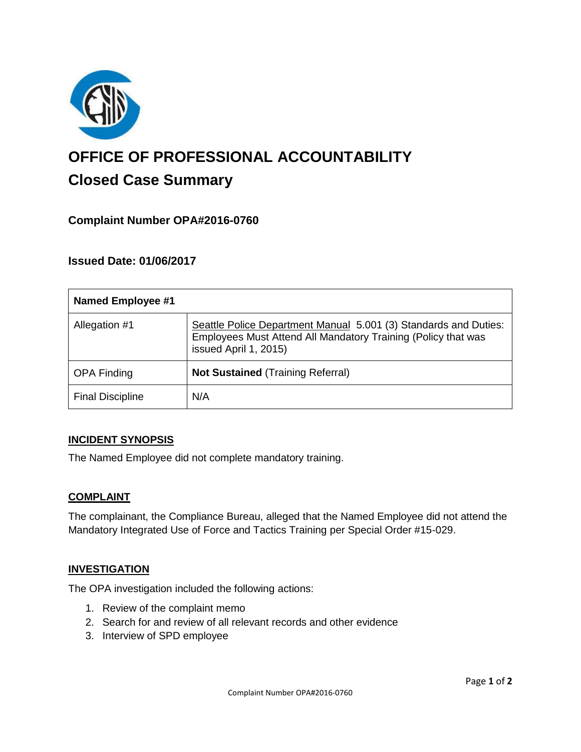

# **OFFICE OF PROFESSIONAL ACCOUNTABILITY Closed Case Summary**

# **Complaint Number OPA#2016-0760**

## **Issued Date: 01/06/2017**

| <b>Named Employee #1</b> |                                                                                                                                                            |
|--------------------------|------------------------------------------------------------------------------------------------------------------------------------------------------------|
| Allegation #1            | Seattle Police Department Manual 5.001 (3) Standards and Duties:<br>Employees Must Attend All Mandatory Training (Policy that was<br>issued April 1, 2015) |
| <b>OPA Finding</b>       | <b>Not Sustained (Training Referral)</b>                                                                                                                   |
| <b>Final Discipline</b>  | N/A                                                                                                                                                        |

#### **INCIDENT SYNOPSIS**

The Named Employee did not complete mandatory training.

#### **COMPLAINT**

The complainant, the Compliance Bureau, alleged that the Named Employee did not attend the Mandatory Integrated Use of Force and Tactics Training per Special Order #15-029.

#### **INVESTIGATION**

The OPA investigation included the following actions:

- 1. Review of the complaint memo
- 2. Search for and review of all relevant records and other evidence
- 3. Interview of SPD employee